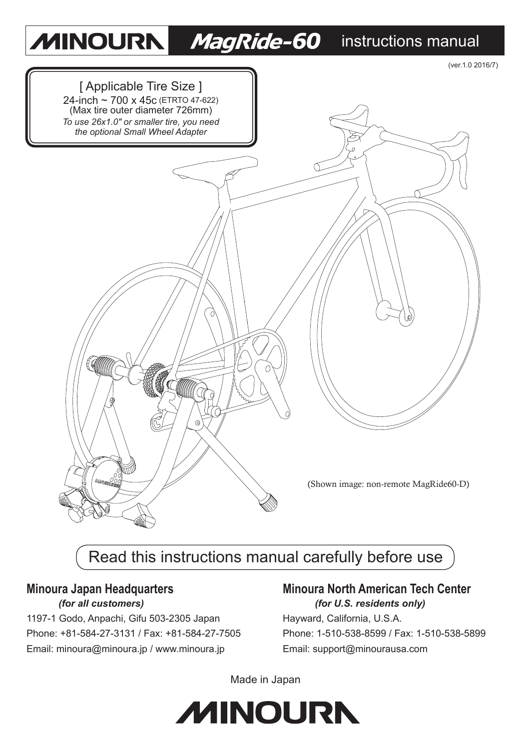#### **MINOURN** *MagRide-60* instructions manual



# Read this instructions manual carefully before use

1197-1 Godo, Anpachi, Gifu 503-2305 Japan Hayward, California, U.S.A. Phone: +81-584-27-3131 / Fax: +81-584-27-7505 Phone: 1-510-538-8599 / Fax: 1-510-538-5899 Email: minoura@minoura.jp / www.minoura.jp Email: support@minourausa.com

#### **Minoura Japan Headquarters Minoura North American Tech Center** *(for all customers) (for U.S. residents only)*

Made in Japan

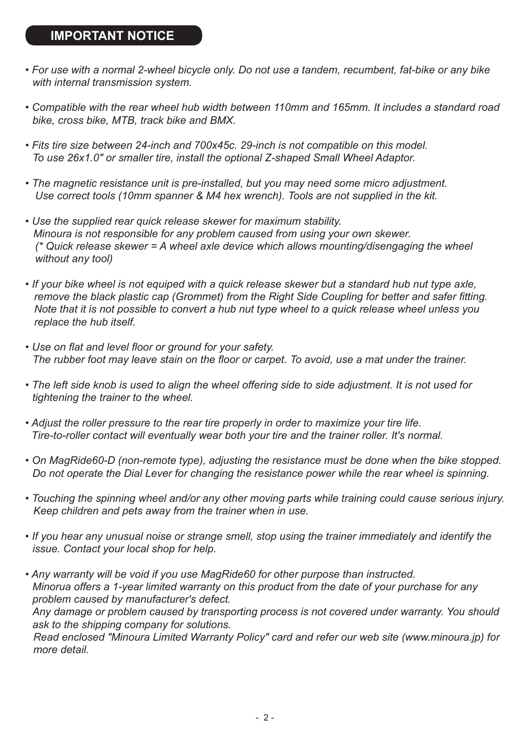#### **IMPORTANT NOTICE**

- *For use with a normal 2-wheel bicycle only. Do not use a tandem, recumbent, fat-bike or any bike with internal transmission system.*
- *Compatible with the rear wheel hub width between 110mm and 165mm. It includes a standard road bike, cross bike, MTB, track bike and BMX.*
- *Fits tire size between 24-inch and 700x45c. 29-inch is not compatible on this model. To use 26x1.0" or smaller tire, install the optional Z-shaped Small Wheel Adaptor.*
- *The magnetic resistance unit is pre-installed, but you may need some micro adjustment. Use correct tools (10mm spanner & M4 hex wrench). Tools are not supplied in the kit.*
- *Use the supplied rear quick release skewer for maximum stability. Minoura is not responsible for any problem caused from using your own skewer. (\* Quick release skewer = A wheel axle device which allows mounting/disengaging the wheel without any tool)*
- *If your bike wheel is not equiped with a quick release skewer but a standard hub nut type axle, remove the black plastic cap (Grommet) from the Right Side Coupling for better and safer fitting. Note that it is not possible to convert a hub nut type wheel to a quick release wheel unless you replace the hub itself.*
- *Use on flat and level floor or ground for your safety. The rubber foot may leave stain on the floor or carpet. To avoid, use a mat under the trainer.*
- *The left side knob is used to align the wheel offering side to side adjustment. It is not used for tightening the trainer to the wheel.*
- *Adjust the roller pressure to the rear tire properly in order to maximize your tire life. Tire-to-roller contact will eventually wear both your tire and the trainer roller. It's normal.*
- *On MagRide60-D (non-remote type), adjusting the resistance must be done when the bike stopped. Do not operate the Dial Lever for changing the resistance power while the rear wheel is spinning.*
- *Touching the spinning wheel and/or any other moving parts while training could cause serious injury. Keep children and pets away from the trainer when in use.*
- *If you hear any unusual noise or strange smell, stop using the trainer immediately and identify the issue. Contact your local shop for help.*
- *Any warranty will be void if you use MagRide60 for other purpose than instructed. Minorua offers a 1-year limited warranty on this product from the date of your purchase for any problem caused by manufacturer's defect. Any damage or problem caused by transporting process is not covered under warranty. You should ask to the shipping company for solutions. Read enclosed "Minoura Limited Warranty Policy" card and refer our web site (www.minoura.jp) for more detail.*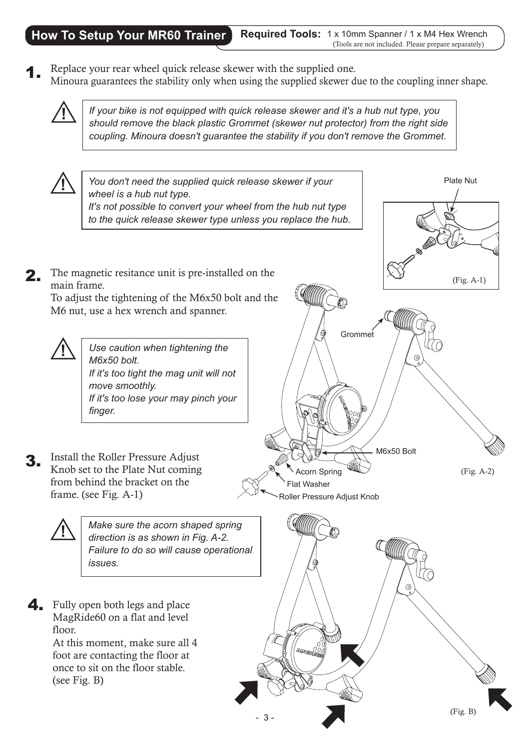#### **How To Setup Your MR60 Trainer**

**Required Tools:** 1 x 10mm Spanner / 1 x M4 Hex Wrench (Tools are not included. Please prepare separately)

Replace your rear wheel quick release skewer with the supplied one. Minoura guarantees the stability only when using the supplied skewer due to the coupling inner shape. 1.



**!** *If your bike is not equipped with quick release skewer and it's a hub nut type, you should remove the black plastic Grommet (skewer nut protector) from the right side coupling. Minoura doesn't guarantee the stability if you don't remove the Grommet.*

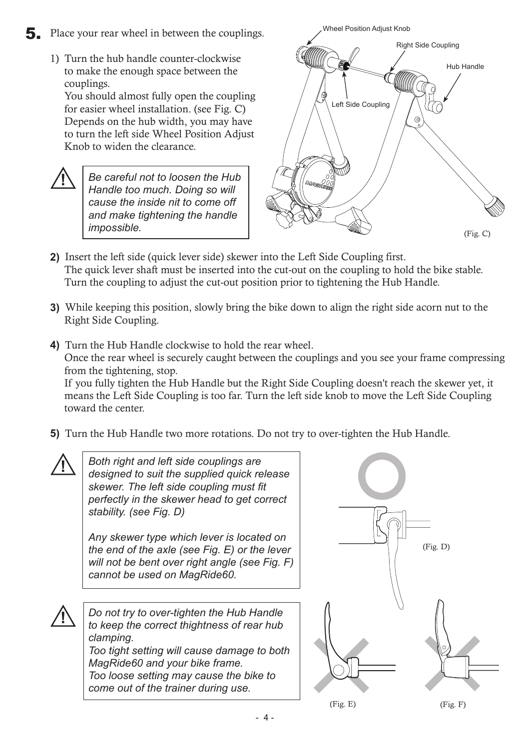1) Turn the hub handle counter-clockwise to make the enough space between the couplings.

You should almost fully open the coupling for easier wheel installation. (see Fig. C) Depends on the hub width, you may have to turn the left side Wheel Position Adjust Knob to widen the clearance.

**!** *Be careful not to loosen the Hub Handle too much. Doing so will cause the inside nit to come off and make tightening the handle impossible.*



- **2)** Insert the left side (quick lever side) skewer into the Left Side Coupling first. The quick lever shaft must be inserted into the cut-out on the coupling to hold the bike stable. Turn the coupling to adjust the cut-out position prior to tightening the Hub Handle.
- **3)** While keeping this position, slowly bring the bike down to align the right side acorn nut to the Right Side Coupling.
- **4)** Turn the Hub Handle clockwise to hold the rear wheel. Once the rear wheel is securely caught between the couplings and you see your frame compressing from the tightening, stop. If you fully tighten the Hub Handle but the Right Side Coupling doesn't reach the skewer yet, it means the Left Side Coupling is too far. Turn the left side knob to move the Left Side Coupling toward the center.
- **5)** Turn the Hub Handle two more rotations. Do not try to over-tighten the Hub Handle.



*Both right and left side couplings are designed to suit the supplied quick release skewer. The left side coupling must fit perfectly in the skewer head to get correct stability. (see Fig. D)*

*Any skewer type which lever is located on the end of the axle (see Fig. E) or the lever will not be bent over right angle (see Fig. F) cannot be used on MagRide60.*

**!** *Do not try to over-tighten the Hub Handle to keep the correct thightness of rear hub clamping. Too tight setting will cause damage to both MagRide60 and your bike frame. Too loose setting may cause the bike to* 

*come out of the trainer during use.*

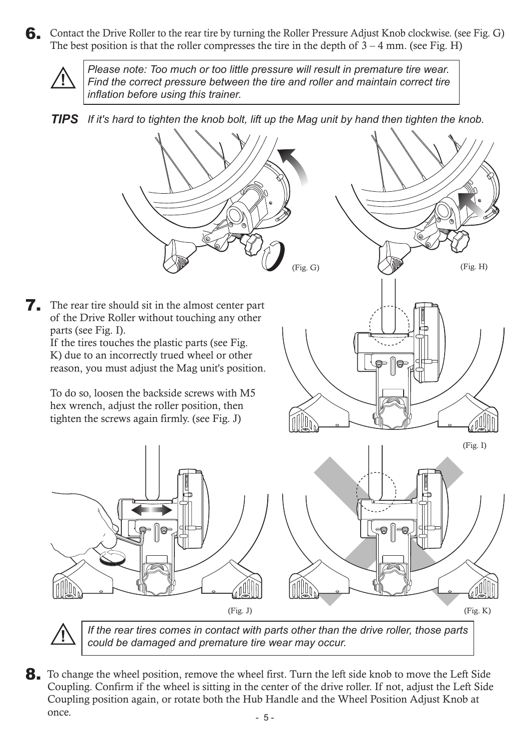6. Contact the Drive Roller to the rear tire by turning the Roller Pressure Adjust Knob clockwise. (see Fig. G) The best position is that the roller compresses the tire in the depth of  $3 - 4$  mm. (see Fig. H)



*Please note: Too much or too little pressure will result in premature tire wear. Find the correct pressure between the tire and roller and maintain correct tire inflation before using this trainer.*





*could be damaged and premature tire wear may occur.*

8. To change the wheel position, remove the wheel first. Turn the left side knob to move the Left Side Coupling. Confirm if the wheel is sitting in the center of the drive roller. If not, adjust the Left Side Coupling position again, or rotate both the Hub Handle and the Wheel Position Adjust Knob at once.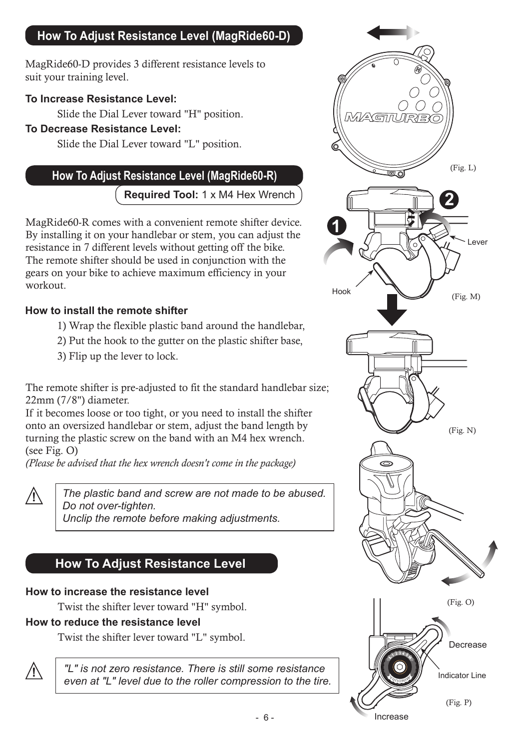## **How To Adjust Resistance Level (MagRide60-D)**

MagRide60-D provides 3 different resistance levels to suit your training level.

#### **To Increase Resistance Level:**

Slide the Dial Lever toward "H" position.

#### **To Decrease Resistance Level:**

Slide the Dial Lever toward "L" position.

## **How To Adjust Resistance Level (MagRide60-R)** (Fig. L)

**Required Tool:** 1 x M4 Hex Wrench

MagRide60-R comes with a convenient remote shifter device. By installing it on your handlebar or stem, you can adjust the resistance in 7 different levels without getting off the bike. The remote shifter should be used in conjunction with the gears on your bike to achieve maximum efficiency in your workout.

#### **How to install the remote shifter**

- 1) Wrap the flexible plastic band around the handlebar,
- 2) Put the hook to the gutter on the plastic shifter base,
- 3) Flip up the lever to lock.

The remote shifter is pre-adjusted to fit the standard handlebar size; 22mm (7/8") diameter.

If it becomes loose or too tight, or you need to install the shifter onto an oversized handlebar or stem, adjust the band length by turning the plastic screw on the band with an M4 hex wrench. (see Fig. O)

*(Please be advised that the hex wrench doesn't come in the package)*



**!** *The plastic band and screw are not made to be abused. Do not over-tighten. Unclip the remote before making adjustments.*

## **How To Adjust Resistance Level**

#### **How to increase the resistance level**

Twist the shifter lever toward "H" symbol.

#### **How to reduce the resistance level**

Twist the shifter lever toward "L" symbol.



**!** *"L" is not zero resistance. There is still some resistance even at "L" level due to the roller compression to the tire.*